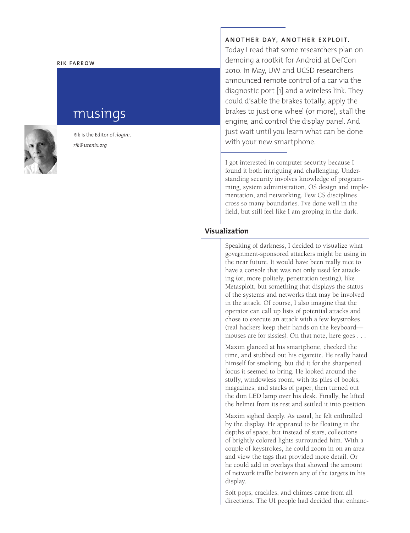#### **RIK FARROW**

# musings



Rik is the Editor of *;login:*. *rik@usenix.org*

## **ANOTHER DAY, ANOTHER EXPLOIT.**

Today I read that some researchers plan on demoing a rootkit for Android at DefCon 2010. In May, UW and UCSD researchers announced remote control of a car via the diagnostic port [1] and a wireless link. They could disable the brakes totally, apply the brakes to just one wheel (or more), stall the engine, and control the display panel. And just wait until you learn what can be done with your new smartphone.

I got interested in computer security because I found it both intriguing and challenging. Understanding security involves knowledge of programming, system administration, OS design and implementation, and networking. Few CS disciplines cross so many boundaries. I've done well in the field, but still feel like I am groping in the dark.

## **Visualization**

gove<u>r</u>nment-sponsored attackers might be using in Speaking of darkness, I decided to visualize what the near future. It would have been really nice to have a console that was not only used for attacking (or, more politely, penetration testing), like Metasploit, but something that displays the status of the systems and networks that may be involved in the attack. Of course, I also imagine that the operator can call up lists of potential attacks and chose to execute an attack with a few keystrokes (real hackers keep their hands on the keyboard mouses are for sissies). On that note, here goes . . .

Maxim glanced at his smartphone, checked the time, and stubbed out his cigarette. He really hated himself for smoking, but did it for the sharpened focus it seemed to bring. He looked around the stuffy, windowless room, with its piles of books, magazines, and stacks of paper, then turned out the dim LED lamp over his desk. Finally, he lifted the helmet from its rest and settled it into position.

Maxim sighed deeply. As usual, he felt enthralled by the display. He appeared to be floating in the depths of space, but instead of stars, collections of brightly colored lights surrounded him. With a couple of keystrokes, he could zoom in on an area and view the tags that provided more detail. Or he could add in overlays that showed the amount of network traffic between any of the targets in his display.

Soft pops, crackles, and chimes came from all directions. The UI people had decided that enhanc-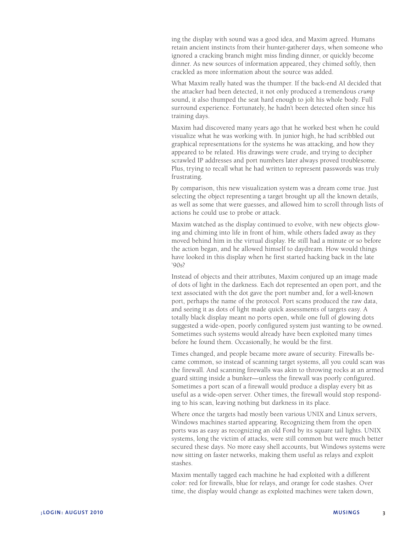ing the display with sound was a good idea, and Maxim agreed. Humans retain ancient instincts from their hunter-gatherer days, when someone who ignored a cracking branch might miss finding dinner, or quickly become dinner. As new sources of information appeared, they chimed softly, then crackled as more information about the source was added.

What Maxim really hated was the thumper. If the back-end AI decided that the attacker had been detected, it not only produced a tremendous *crump* sound, it also thumped the seat hard enough to jolt his whole body. Full surround experience. Fortunately, he hadn't been detected often since his training days.

Maxim had discovered many years ago that he worked best when he could visualize what he was working with. In junior high, he had scribbled out graphical representations for the systems he was attacking, and how they appeared to be related. His drawings were crude, and trying to decipher scrawled IP addresses and port numbers later always proved troublesome. Plus, trying to recall what he had written to represent passwords was truly frustrating.

By comparison, this new visualization system was a dream come true. Just selecting the object representing a target brought up all the known details, as well as some that were guesses, and allowed him to scroll through lists of actions he could use to probe or attack.

Maxim watched as the display continued to evolve, with new objects glowing and chiming into life in front of him, while others faded away as they moved behind him in the virtual display. He still had a minute or so before the action began, and he allowed himself to daydream. How would things have looked in this display when he first started hacking back in the late  $'90s?$ 

Instead of objects and their attributes, Maxim conjured up an image made of dots of light in the darkness. Each dot represented an open port, and the text associated with the dot gave the port number and, for a well-known port, perhaps the name of the protocol. Port scans produced the raw data, and seeing it as dots of light made quick assessments of targets easy. A totally black display meant no ports open, while one full of glowing dots suggested a wide-open, poorly configured system just wanting to be owned. Sometimes such systems would already have been exploited many times before he found them. Occasionally, he would be the first.

Times changed, and people became more aware of security. Firewalls became common, so instead of scanning target systems, all you could scan was the firewall. And scanning firewalls was akin to throwing rocks at an armed guard sitting inside a bunker—unless the firewall was poorly configured. Sometimes a port scan of a firewall would produce a display every bit as useful as a wide-open server. Other times, the firewall would stop responding to his scan, leaving nothing but darkness in its place.

Where once the targets had mostly been various UNIX and Linux servers, Windows machines started appearing. Recognizing them from the open ports was as easy as recognizing an old Ford by its square tail lights. UNIX systems, long the victim of attacks, were still common but were much better secured these days. No more easy shell accounts, but Windows systems were now sitting on faster networks, making them useful as relays and exploit stashes.

Maxim mentally tagged each machine he had exploited with a different color: red for firewalls, blue for relays, and orange for code stashes. Over time, the display would change as exploited machines were taken down,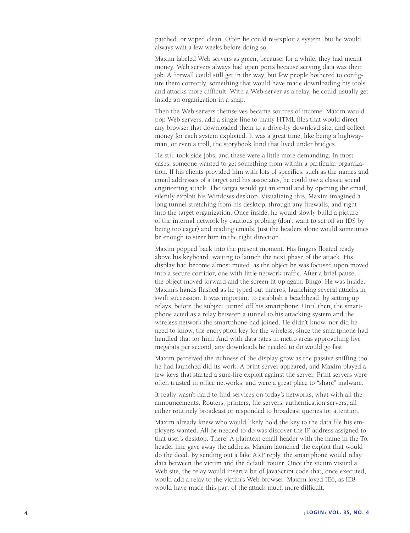patched, or wiped clean. Often he could re-exploit a system, but he would always wait a few weeks before doing so.

Maxim labeled Web servers as green, because, for a while, they had meant money. Web servers always had open ports because serving data was their job. A firewall could still get in the way, but few people bothered to config ure them correctly, something that would have made downloading his tools and attacks more difficult. With a Web server as a relay, he could usually get inside an organization in a snap.

Then the Web servers themselves became sources of income. Maxim would pop Web servers, add a single line to many HTML files that would direct any browser that downloaded them to a drive-by download site, and collect money for each system exploited. It was a great time, like being a highway man, or even a troll, the storybook kind that lived under bridges.

He still took side jobs, and these were a little more demanding. In most cases, someone wanted to get something from within a particular organiza tion. If his clients provided him with lots of specifics, such as the names and email addresses of a target and his associates, he could use a classic social engineering attack. The target would get an email and by opening the email, silently exploit his Windows desktop. Visualizing this, Maxim imagined a long tunnel stretching from his desktop, through any firewalls, and right into the target organization. Once inside, he would slowly build a picture of the internal network by cautious probing (don't want to set off an IDS by being too eager) and reading emails. Just the headers alone would sometimes be enough to steer him in the right direction.

Maxim popped back into the present moment. His fingers floated ready above his keyboard, waiting to launch the next phase of the attack. His display had become almost muted, as the object he was focused upon moved into a secure corridor, one with little network traffic. After a brief pause, the object moved forward and the screen lit up again. Bingo! He was inside. Maxim's hands flashed as he typed out macros, launching several attacks in swift succession. It was important to establish a beachhead, by setting up relays, before the subject turned off his smartphone. Until then, the smart phone acted as a relay between a tunnel to his attacking system and the wireless network the smartphone had joined. He didn't know, nor did he need to know, the encryption key for the wireless, since the smartphone had handled that for him. And with data rates in metro areas approaching five megabits per second, any downloads he needed to do would go fast.

Maxim perceived the richness of the display grow as the passive sniffing tool he had launched did its work. A print server appeared, and Maxim played a few keys that started a sure-fire exploit against the server. Print servers were often trusted in office networks, and were a great place to "share" malware.

It really wasn't hard to find services on today's networks, what with all the announcements. Routers, printers, file servers, authentication servers, all either routinely broadcast or responded to broadcast queries for attention.

Maxim already knew who would likely hold the key to the data file his em ployers wanted. All he needed to do was discover the IP address assigned to that user's desktop. There! A plaintext email header with the name in the To: header line gave away the address. Maxim launched the exploit that would do the deed. By sending out a fake ARP reply, the smartphone would relay data between the victim and the default router. Once the victim visited a Web site, the relay would insert a bit of JavaScript code that, once executed, would add a relay to the victim's Web browser. Maxim loved IE6, as IE8 would have made this part of the attack much more difficult.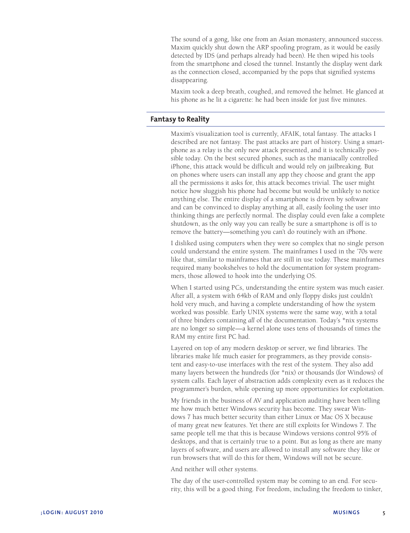The sound of a gong, like one from an Asian monastery, announced success. Maxim quickly shut down the ARP spoofing program, as it would be easily detected by IDS (and perhaps already had been). He then wiped his tools from the smartphone and closed the tunnel. Instantly the display went dark as the connection closed, accompanied by the pops that signified systems disappearing.

Maxim took a deep breath, coughed, and removed the helmet. He glanced at his phone as he lit a cigarette: he had been inside for just five minutes.

## **Fantasy to Reality**

Maxim's visualization tool is currently, AFAIK, total fantasy. The attacks I described are not fantasy. The past attacks are part of history. Using a smartphone as a relay is the only new attack presented, and it is technically possible today. On the best secured phones, such as the maniacally controlled iPhone, this attack would be difficult and would rely on jailbreaking. But on phones where users can install any app they choose and grant the app all the permissions it asks for, this attack becomes trivial. The user might notice how sluggish his phone had become but would be unlikely to notice anything else. The entire display of a smartphone is driven by software and can be convinced to display anything at all, easily fooling the user into thinking things are perfectly normal. The display could even fake a complete shutdown, as the only way you can really be sure a smartphone is off is to remove the battery—something you can't do routinely with an iPhone.

I disliked using computers when they were so complex that no single person could understand the entire system. The mainframes I used in the '70s were like that, similar to mainframes that are still in use today. These mainframes required many bookshelves to hold the documentation for system programmers, those allowed to hook into the underlying OS.

When I started using PCs, understanding the entire system was much easier. After all, a system with 64kb of RAM and only floppy disks just couldn't hold very much, and having a complete understanding of how the system worked was possible. Early UNIX systems were the same way, with a total of three binders containing *all* of the documentation. Today's \*nix systems are no longer so simple—a kernel alone uses tens of thousands of times the RAM my entire first PC had.

Layered on top of any modern desktop or server, we find libraries. The libraries make life much easier for programmers, as they provide consistent and easy-to-use interfaces with the rest of the system. They also add many layers between the hundreds (for \*nix) or thousands (for Windows) of system calls. Each layer of abstraction adds complexity even as it reduces the programmer's burden, while opening up more opportunities for exploitation.

My friends in the business of AV and application auditing have been telling me how much better Windows security has become. They swear Windows 7 has much better security than either Linux or Mac OS X because of many great new features. Yet there are still exploits for Windows 7. The same people tell me that this is because Windows versions control 95% of desktops, and that is certainly true to a point. But as long as there are many layers of software, and users are allowed to install any software they like or run browsers that will do this for them, Windows will not be secure.

And neither will other systems.

The day of the user-controlled system may be coming to an end. For security, this will be a good thing. For freedom, including the freedom to tinker,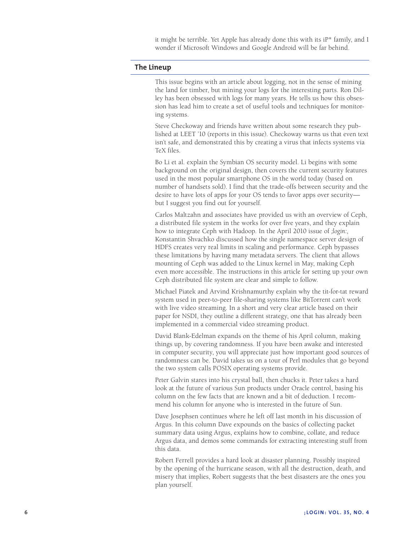it might be terrible. Yet Apple has already done this with its iP\* family, and I wonder if Microsoft Windows and Google Android will be far behind.

### **The Lineup**

This issue begins with an article about logging, not in the sense of mining the land for timber, but mining your logs for the interesting parts. Ron Dilley has been obsessed with logs for many years. He tells us how this obsession has lead him to create a set of useful tools and techniques for monitoring systems.

Steve Checkoway and friends have written about some research they published at LEET '10 (reports in this issue). Checkoway warns us that even text isn't safe, and demonstrated this by creating a virus that infects systems via TeX files.

Bo Li et al. explain the Symbian OS security model. Li begins with some background on the original design, then covers the current security features used in the most popular smartphone OS in the world today (based on number of handsets sold). I find that the trade-offs between security and the desire to have lots of apps for your OS tends to favor apps over security but I suggest you find out for yourself.

Carlos Maltzahn and associates have provided us with an overview of Ceph, a distributed file system in the works for over five years, and they explain how to integrate Ceph with Hadoop. In the April 2010 issue of *;login:*, Konstantin Shvachko discussed how the single namespace server design of HDFS creates very real limits in scaling and performance. Ceph bypasses these limitations by having many metadata servers. The client that allows mounting of Ceph was added to the Linux kernel in May, making Ceph even more accessible. The instructions in this article for setting up your own Ceph distributed file system are clear and simple to follow.

Michael Piatek and Arvind Krishnamurthy explain why the tit-for-tat reward system used in peer-to-peer file-sharing systems like BitTorrent can't work with live video streaming. In a short and very clear article based on their paper for NSDI, they outline a different strategy, one that has already been implemented in a commercial video streaming product.

David Blank-Edelman expands on the theme of his April column, making things up, by covering randomness. If you have been awake and interested in computer security, you will appreciate just how important good sources of randomness can be. David takes us on a tour of Perl modules that go beyond the two system calls POSIX operating systems provide.

Peter Galvin stares into his crystal ball, then chucks it. Peter takes a hard look at the future of various Sun products under Oracle control, basing his column on the few facts that are known and a bit of deduction. I recommend his column for anyone who is interested in the future of Sun.

Dave Josephsen continues where he left off last month in his discussion of Argus. In this column Dave expounds on the basics of collecting packet summary data using Argus, explains how to combine, collate, and reduce Argus data, and demos some commands for extracting interesting stuff from this data.

Robert Ferrell provides a hard look at disaster planning. Possibly inspired by the opening of the hurricane season, with all the destruction, death, and misery that implies, Robert suggests that the best disasters are the ones you plan yourself.